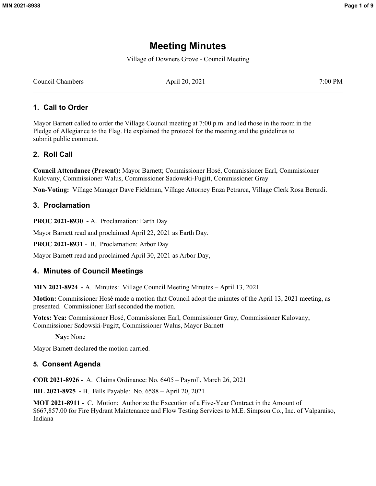# **Meeting Minutes**

Village of Downers Grove - Council Meeting

Council Chambers **April 20, 2021** 7:00 PM

### **1. Call to Order**

Mayor Barnett called to order the Village Council meeting at 7:00 p.m. and led those in the room in the Pledge of Allegiance to the Flag. He explained the protocol for the meeting and the guidelines to submit public comment.

# **2. Roll Call**

**Council Attendance (Present):** Mayor Barnett; Commissioner Hosé, Commissioner Earl, Commissioner Kulovany, Commissioner Walus, Commissioner Sadowski-Fugitt, Commissioner Gray

**Non-Voting:** Village Manager Dave Fieldman, Village Attorney Enza Petrarca, Village Clerk Rosa Berardi.

#### **3. Proclamation**

**PROC 2021-8930 -** A. Proclamation: Earth Day

Mayor Barnett read and proclaimed April 22, 2021 as Earth Day.

**PROC 2021-8931** - B. Proclamation: Arbor Day

Mayor Barnett read and proclaimed April 30, 2021 as Arbor Day,

#### **4. Minutes of Council Meetings**

**MIN 2021-8924 -** A. Minutes: Village Council Meeting Minutes – April 13, 2021

**Motion:** Commissioner Hosé made a motion that Council adopt the minutes of the April 13, 2021 meeting, as presented. Commissioner Earl seconded the motion.

**Votes: Yea:** Commissioner Hosé, Commissioner Earl, Commissioner Gray, Commissioner Kulovany, Commissioner Sadowski-Fugitt, Commissioner Walus, Mayor Barnett

**Nay:** None

Mayor Barnett declared the motion carried.

#### **5. Consent Agenda**

**COR 2021-8926** - A. Claims Ordinance: No. 6405 – Payroll, March 26, 2021

**BIL 2021-8925 -** B. Bills Payable: No. 6588 – April 20, 2021

**MOT 2021-8911** - C. Motion: Authorize the Execution of a Five-Year Contract in the Amount of \$667,857.00 for Fire Hydrant Maintenance and Flow Testing Services to M.E. Simpson Co., Inc. of Valparaiso, Indiana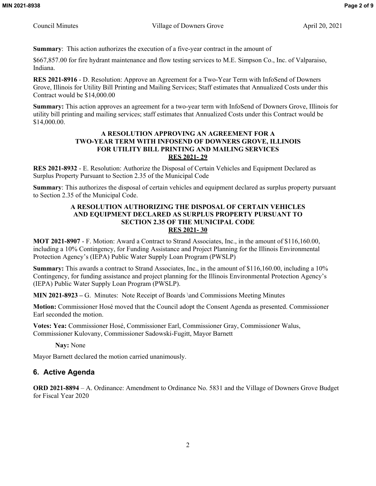**Summary**: This action authorizes the execution of a five-year contract in the amount of

\$667,857.00 for fire hydrant maintenance and flow testing services to M.E. Simpson Co., Inc. of Valparaiso, Indiana.

**RES 2021-8916** - D. Resolution: Approve an Agreement for a Two-Year Term with InfoSend of Downers Grove, Illinois for Utility Bill Printing and Mailing Services; Staff estimates that Annualized Costs under this Contract would be \$14,000.00

**Summary:** This action approves an agreement for a two-year term with InfoSend of Downers Grove, Illinois for utility bill printing and mailing services; staff estimates that Annualized Costs under this Contract would be \$14,000.00.

#### **A RESOLUTION APPROVING AN AGREEMENT FOR A TWO-YEAR TERM WITH INFOSEND OF DOWNERS GROVE, ILLINOIS FOR UTILITY BILL PRINTING AND MAILING SERVICES RES 2021- 29**

**RES 2021-8932** - E. Resolution: Authorize the Disposal of Certain Vehicles and Equipment Declared as Surplus Property Pursuant to Section 2.35 of the Municipal Code

**Summary**: This authorizes the disposal of certain vehicles and equipment declared as surplus property pursuant to Section 2.35 of the Municipal Code.

#### **A RESOLUTION AUTHORIZING THE DISPOSAL OF CERTAIN VEHICLES AND EQUIPMENT DECLARED AS SURPLUS PROPERTY PURSUANT TO SECTION 2.35 OF THE MUNICIPAL CODE RES 2021- 30**

**MOT 2021-8907** - F. Motion: Award a Contract to Strand Associates, Inc., in the amount of \$116,160.00, including a 10% Contingency, for Funding Assistance and Project Planning for the Illinois Environmental Protection Agency's (IEPA) Public Water Supply Loan Program (PWSLP)

**Summary:** This awards a contract to Strand Associates, Inc., in the amount of \$116,160.00, including a 10% Contingency, for funding assistance and project planning for the Illinois Environmental Protection Agency's (IEPA) Public Water Supply Loan Program (PWSLP).

**MIN 2021-8923 –** G. Minutes: Note Receipt of Boards \and Commissions Meeting Minutes

**Motion:** Commissioner Hosé moved that the Council adopt the Consent Agenda as presented. Commissioner Earl seconded the motion.

**Votes: Yea:** Commissioner Hosé, Commissioner Earl, Commissioner Gray, Commissioner Walus, Commissioner Kulovany, Commissioner Sadowski-Fugitt, Mayor Barnett

**Nay:** None

Mayor Barnett declared the motion carried unanimously.

# **6. Active Agenda**

**ORD 2021-8894** – A. Ordinance: Amendment to Ordinance No. 5831 and the Village of Downers Grove Budget for Fiscal Year 2020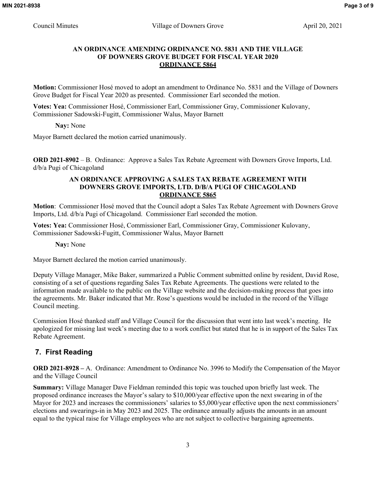#### **AN ORDINANCE AMENDING ORDINANCE NO. 5831 AND THE VILLAGE OF DOWNERS GROVE BUDGET FOR FISCAL YEAR 2020 ORDINANCE 5864**

**Motion:** Commissioner Hosé moved to adopt an amendment to Ordinance No. 5831 and the Village of Downers Grove Budget for Fiscal Year 2020 as presented. Commissioner Earl seconded the motion.

**Votes: Yea:** Commissioner Hosé, Commissioner Earl, Commissioner Gray, Commissioner Kulovany, Commissioner Sadowski-Fugitt, Commissioner Walus, Mayor Barnett

**Nay:** None

Mayor Barnett declared the motion carried unanimously.

**ORD 2021-8902** – B. Ordinance: Approve a Sales Tax Rebate Agreement with Downers Grove Imports, Ltd. d/b/a Pugi of Chicagoland

#### **AN ORDINANCE APPROVING A SALES TAX REBATE AGREEMENT WITH DOWNERS GROVE IMPORTS, LTD. D/B/A PUGI OF CHICAGOLAND ORDINANCE 5865**

**Motion**: Commissioner Hosé moved that the Council adopt a Sales Tax Rebate Agreement with Downers Grove Imports, Ltd. d/b/a Pugi of Chicagoland. Commissioner Earl seconded the motion.

**Votes: Yea:** Commissioner Hosé, Commissioner Earl, Commissioner Gray, Commissioner Kulovany, Commissioner Sadowski-Fugitt, Commissioner Walus, Mayor Barnett

**Nay:** None

Mayor Barnett declared the motion carried unanimously.

Deputy Village Manager, Mike Baker, summarized a Public Comment submitted online by resident, David Rose, consisting of a set of questions regarding Sales Tax Rebate Agreements. The questions were related to the information made available to the public on the Village website and the decision-making process that goes into the agreements. Mr. Baker indicated that Mr. Rose's questions would be included in the record of the Village Council meeting.

Commission Hosé thanked staff and Village Council for the discussion that went into last week's meeting. He apologized for missing last week's meeting due to a work conflict but stated that he is in support of the Sales Tax Rebate Agreement.

# **7. First Reading**

**ORD 2021-8928 –** A. Ordinance: Amendment to Ordinance No. 3996 to Modify the Compensation of the Mayor and the Village Council

**Summary:** Village Manager Dave Fieldman reminded this topic was touched upon briefly last week. The proposed ordinance increases the Mayor's salary to \$10,000/year effective upon the next swearing in of the Mayor for 2023 and increases the commissioners' salaries to \$5,000/year effective upon the next commissioners' elections and swearings-in in May 2023 and 2025. The ordinance annually adjusts the amounts in an amount equal to the typical raise for Village employees who are not subject to collective bargaining agreements.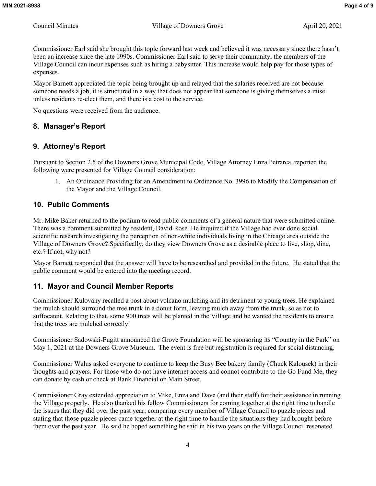Commissioner Earl said she brought this topic forward last week and believed it was necessary since there hasn't been an increase since the late 1990s. Commissioner Earl said to serve their community, the members of the Village Council can incur expenses such as hiring a babysitter. This increase would help pay for those types of expenses.

Mayor Barnett appreciated the topic being brought up and relayed that the salaries received are not because someone needs a job, it is structured in a way that does not appear that someone is giving themselves a raise unless residents re-elect them, and there is a cost to the service.

No questions were received from the audience.

# **8. Manager's Report**

# **9. Attorney's Report**

Pursuant to Section 2.5 of the Downers Grove Municipal Code, Village Attorney Enza Petrarca, reported the following were presented for Village Council consideration:

1. An Ordinance Providing for an Amendment to Ordinance No. 3996 to Modify the Compensation of the Mayor and the Village Council.

# **10. Public Comments**

Mr. Mike Baker returned to the podium to read public comments of a general nature that were submitted online. There was a comment submitted by resident, David Rose. He inquired if the Village had ever done social scientific research investigating the perception of non-white individuals living in the Chicago area outside the Village of Downers Grove? Specifically, do they view Downers Grove as a desirable place to live, shop, dine, etc.? If not, why not?

Mayor Barnett responded that the answer will have to be researched and provided in the future. He stated that the public comment would be entered into the meeting record.

# **11. Mayor and Council Member Reports**

Commissioner Kulovany recalled a post about volcano mulching and its detriment to young trees. He explained the mulch should surround the tree trunk in a donut form, leaving mulch away from the trunk, so as not to suffocateit. Relating to that, some 900 trees will be planted in the Village and he wanted the residents to ensure that the trees are mulched correctly.

Commissioner Sadowski-Fugitt announced the Grove Foundation will be sponsoring its "Country in the Park" on May 1, 2021 at the Downers Grove Museum. The event is free but registration is required for social distancing.

Commissioner Walus asked everyone to continue to keep the Busy Bee bakery family (Chuck Kalousek) in their thoughts and prayers. For those who do not have internet access and connot contribute to the Go Fund Me, they can donate by cash or check at Bank Financial on Main Street.

Commissioner Gray extended appreciation to Mike, Enza and Dave (and their staff) for their assistance in running the Village properly. He also thanked his fellow Commissioners for coming together at the right time to handle the issues that they did over the past year; comparing every member of Village Council to puzzle pieces and stating that those puzzle pieces came together at the right time to handle the situations they had brought before them over the past year. He said he hoped something he said in his two years on the Village Council resonated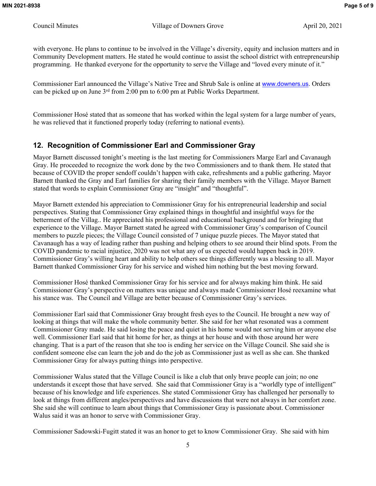with everyone. He plans to continue to be involved in the Village's diversity, equity and inclusion matters and in Community Development matters. He stated he would continue to assist the school district with entrepreneurship programming. He thanked everyone for the opportunity to serve the Village and "loved every minute of it."

Commissioner Earl announced the Village's Native Tree and Shrub Sale is online at [www.downers.us](http://www.downers.us/). Orders can be picked up on June 3rd from 2:00 pm to 6:00 pm at Public Works Department.

Commissioner Hosé stated that as someone that has worked within the legal system for a large number of years, he was relieved that it functioned properly today (referring to national events).

# **12. Recognition of Commissioner Earl and Commissioner Gray**

Mayor Barnett discussed tonight's meeting is the last meeting for Commissioners Marge Earl and Cavanaugh Gray. He proceeded to recognize the work done by the two Commissioners and to thank them. He stated that because of COVID the proper sendoff couldn't happen with cake, refreshments and a public gathering. Mayor Barnett thanked the Gray and Earl families for sharing their family members with the Village. Mayor Barnett stated that words to explain Commissioner Gray are "insight" and "thoughtful".

Mayor Barnett extended his appreciation to Commissioner Gray for his entrepreneurial leadership and social perspectives. Stating that Commissioner Gray explained things in thoughtful and insightful ways for the betterment of the Villag.. He appreciated his professional and educational background and for bringing that experience to the Village. Mayor Barnett stated he agreed with Commissioner Gray's comparison of Council members to puzzle pieces; the Village Council consisted of 7 unique puzzle pieces. The Mayor stated that Cavanaugh has a way of leading rather than pushing and helping others to see around their blind spots. From the COVID pandemic to racial injustice, 2020 was not what any of us expected would happen back in 2019. Commissioner Gray's willing heart and ability to help others see things differently was a blessing to all. Mayor Barnett thanked Commissioner Gray for his service and wished him nothing but the best moving forward.

Commissioner Hosé thanked Commissioner Gray for his service and for always making him think. He said Commissioner Gray's perspective on matters was unique and always made Commissioner Hosé reexamine what his stance was. The Council and Village are better because of Commissioner Gray's services.

Commissioner Earl said that Commissioner Gray brought fresh eyes to the Council. He brought a new way of looking at things that will make the whole community better. She said for her what resonated was a comment Commissioner Gray made. He said losing the peace and quiet in his home would not serving him or anyone else well. Commissioner Earl said that hit home for her, as things at her house and with those around her were changing. That is a part of the reason that she too is ending her service on the Village Council. She said she is confident someone else can learn the job and do the job as Commissioner just as well as she can. She thanked Commissioner Gray for always putting things into perspective.

Commissioner Walus stated that the Village Council is like a club that only brave people can join; no one understands it except those that have served. She said that Commissioner Gray is a "worldly type of intelligent" because of his knowledge and life experiences. She stated Commissioner Gray has challenged her personally to look at things from different angles/perspectives and have discussions that were not always in her comfort zone. She said she will continue to learn about things that Commissioner Gray is passionate about. Commissioner Walus said it was an honor to serve with Commissioner Gray.

Commissioner Sadowski-Fugitt stated it was an honor to get to know Commissioner Gray. She said with him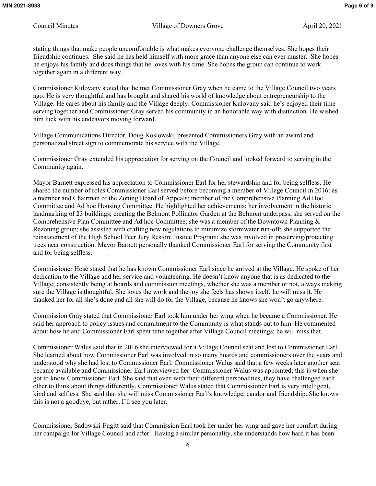stating things that make people uncomfortable is what makes everyone challenge themselves. She hopes their friendship continues. She said he has held himself with more grace than anyone else can ever muster. She hopes he enjoys his family and does things that he loves with his time. She hopes the group can continue to work together again in a different way.

Commissioner Kulovany stated that he met Commissioner Gray when he came to the Village Council two years ago. He is very thoughtful and has brought and shared his world of knowledge about entrepreneurship to the Village. He cares about his family and the Village deeply. Commissioner Kulovany said he's enjoyed their time serving together and Commissioner Gray served his community in an honorable way with distinction. He wished him luck with his endeavors moving forward.

Village Communications Director, Doug Koslowski, presented Commissioners Gray with an award and personalized street sign to commemorate his service with the Village.

Commissioner Gray extended his appreciation for serving on the Council and looked forward to serving in the Community again.

Mayor Barnett expressed his appreciation to Commissioner Earl for her stewardship and for being selfless. He shared the number of roles Commissioner Earl served before becoming a member of Village Council in 2016: as a member and Chairman of the Zoning Board of Appeals; member of the Comprehensive Planning Ad Hoc Committee and Ad hoc Housing Committee. He highlighted her achievements: her involvement in the historic landmarking of 23 buildings; creating the Belmont Pollinator Garden at the Belmont underpass; she served on the Comprehensive Plan Committee and Ad hoc Committee; she was a member of the Downtown Planning & Rezoning group; she assisted with crafting new regulations to minimize stormwater run-off; she supported the reinstatement of the High School Peer Jury Restore Justice Program; she was involved in preserving/protecting trees near construction. Mayor Barnett personally thanked Commissioner Earl for serving the Community first and for being selfless.

Commissioner Hosé stated that he has known Commissioner Earl since he arrived at the Village. He spoke of her dedication to the Village and her service and volunteering. He doesn't know anyone that is as dedicated to the Village; consistently being at boards and commission meetings, whether she was a member or not, always making sure the Village is thoughtful. She loves the work and the joy she feels has shown itself; he will miss it. He thanked her for all she's done and all she will do for the Village, because he knows she won't go anywhere.

Commission Gray stated that Commissioner Earl took him under her wing when he became a Commissioner. He said her approach to policy issues and commitment to the Community is what stands out to him. He commented about how he and Commissioner Earl spent time together after Village Council meetings; he will miss that.

Commissioner Walus said that in 2016 she interviewed for a Village Council seat and lost to Commissioner Earl. She learned about how Commissioner Earl was involved in so many boards and commissioners over the years and understood why she had lost to Commissioner Earl. Commissioner Walus said that a few weeks later another seat became available and Commissioner Earl interviewed her. Commissioner Walus was appointed; this is when she got to know Commissioner Earl. She said that even with their different personalities, they have challenged each other to think about things differently. Commissioner Walus stated that Commissioner Earl is very intelligent, kind and selfless. She said that she will miss Commissioner Earl's knowledge, candor and friendship. She knows this is not a goodbye, but rather, I'll see you later.

Commissioner Sadowski-Fugitt said that Commission Earl took her under her wing and gave her comfort during her campaign for Village Council and after. Having a similar personality, she understands how hard it has been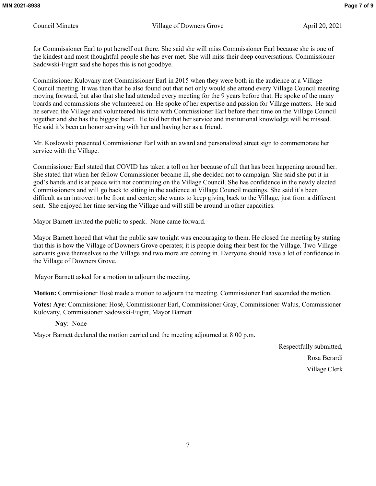for Commissioner Earl to put herself out there. She said she will miss Commissioner Earl because she is one of the kindest and most thoughtful people she has ever met. She will miss their deep conversations. Commissioner Sadowski-Fugitt said she hopes this is not goodbye.

Commissioner Kulovany met Commissioner Earl in 2015 when they were both in the audience at a Village Council meeting. It was then that he also found out that not only would she attend every Village Council meeting moving forward, but also that she had attended every meeting for the 9 years before that. He spoke of the many boards and commissions she volunteered on. He spoke of her expertise and passion for Village matters. He said he served the Village and volunteered his time with Commissioner Earl before their time on the Village Council together and she has the biggest heart. He told her that her service and institutional knowledge will be missed. He said it's been an honor serving with her and having her as a friend.

Mr. Koslowski presented Commissioner Earl with an award and personalized street sign to commemorate her service with the Village.

Commissioner Earl stated that COVID has taken a toll on her because of all that has been happening around her. She stated that when her fellow Commissioner became ill, she decided not to campaign. She said she put it in god's hands and is at peace with not continuing on the Village Council. She has confidence in the newly elected Commissioners and will go back to sitting in the audience at Village Council meetings. She said it's been difficult as an introvert to be front and center; she wants to keep giving back to the Village, just from a different seat. She enjoyed her time serving the Village and will still be around in other capacities.

Mayor Barnett invited the public to speak. None came forward.

Mayor Barnett hoped that what the public saw tonight was encouraging to them. He closed the meeting by stating that this is how the Village of Downers Grove operates; it is people doing their best for the Village. Two Village servants gave themselves to the Village and two more are coming in. Everyone should have a lot of confidence in the Village of Downers Grove.

Mayor Barnett asked for a motion to adjourn the meeting.

**Motion:** Commissioner Hosé made a motion to adjourn the meeting. Commissioner Earl seconded the motion.

**Votes: Aye**: Commissioner Hosé, Commissioner Earl, Commissioner Gray, Commissioner Walus, Commissioner Kulovany, Commissioner Sadowski-Fugitt, Mayor Barnett

**Nay**: None

Mayor Barnett declared the motion carried and the meeting adjourned at 8:00 p.m.

Respectfully submitted, Rosa Berardi Village Clerk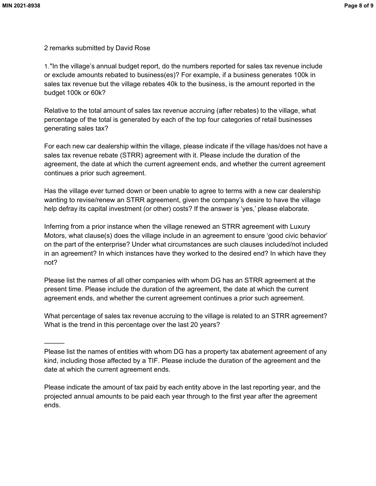———

2 remarks submitted by David Rose

1."In the village's annual budget report, do the numbers reported for sales tax revenue include or exclude amounts rebated to business(es)? For example, if a business generates 100k in sales tax revenue but the village rebates 40k to the business, is the amount reported in the budget 100k or 60k?

Relative to the total amount of sales tax revenue accruing (after rebates) to the village, what percentage of the total is generated by each of the top four categories of retail businesses generating sales tax?

For each new car dealership within the village, please indicate if the village has/does not have a sales tax revenue rebate (STRR) agreement with it. Please include the duration of the agreement, the date at which the current agreement ends, and whether the current agreement continues a prior such agreement.

Has the village ever turned down or been unable to agree to terms with a new car dealership wanting to revise/renew an STRR agreement, given the company's desire to have the village help defray its capital investment (or other) costs? If the answer is 'yes,' please elaborate.

Inferring from a prior instance when the village renewed an STRR agreement with Luxury Motors, what clause(s) does the village include in an agreement to ensure 'good civic behavior' on the part of the enterprise? Under what circumstances are such clauses included/not included in an agreement? In which instances have they worked to the desired end? In which have they not?

Please list the names of all other companies with whom DG has an STRR agreement at the present time. Please include the duration of the agreement, the date at which the current agreement ends, and whether the current agreement continues a prior such agreement.

What percentage of sales tax revenue accruing to the village is related to an STRR agreement? What is the trend in this percentage over the last 20 years?

Please indicate the amount of tax paid by each entity above in the last reporting year, and the projected annual amounts to be paid each year through to the first year after the agreement ends.

Please list the names of entities with whom DG has a property tax abatement agreement of any kind, including those affected by a TIF. Please include the duration of the agreement and the date at which the current agreement ends.